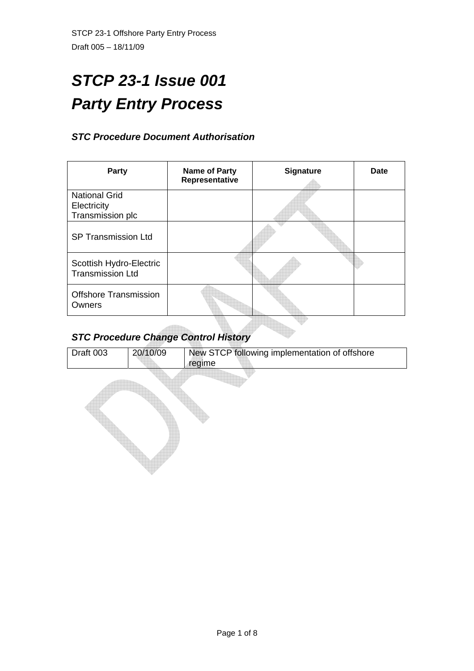# *STCP 23-1 Issue 001 Party Entry Process*

# *STC Procedure Document Authorisation*

| Party                                                   | <b>Name of Party</b><br>Representative | <b>Signature</b> | Date |  |
|---------------------------------------------------------|----------------------------------------|------------------|------|--|
| <b>National Grid</b><br>Electricity<br>Transmission plc |                                        |                  |      |  |
| <b>SP Transmission Ltd</b>                              |                                        |                  |      |  |
| Scottish Hydro-Electric<br><b>Transmission Ltd</b>      |                                        |                  |      |  |
| <b>Offshore Transmission</b><br>Owners                  |                                        |                  |      |  |
| <b>STC Procedure Change Control History</b>             |                                        |                  |      |  |

# *STC Procedure Change Control History*

| Draft 003 | 20/10/09 | New STCP following implementation of offshore<br>regime |
|-----------|----------|---------------------------------------------------------|
|           |          |                                                         |
|           |          |                                                         |
|           |          |                                                         |
|           |          |                                                         |
|           |          |                                                         |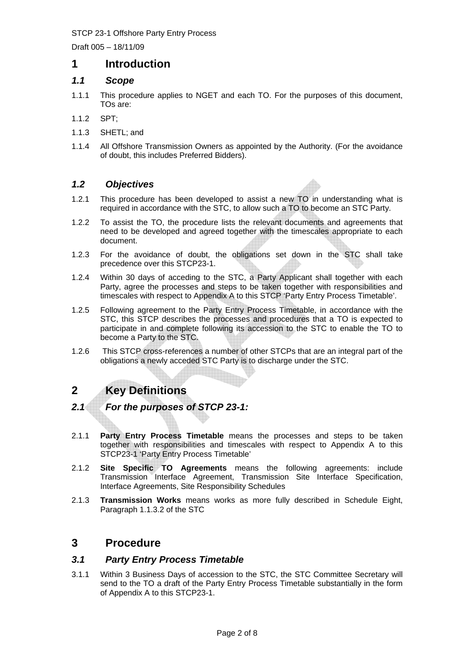Draft 005 – 18/11/09

# **1 Introduction**

# *1.1 Scope*

- 1.1.1 This procedure applies to NGET and each TO. For the purposes of this document, TOs are:
- 1.1.2 SPT;
- 1.1.3 SHETL; and
- 1.1.4 All Offshore Transmission Owners as appointed by the Authority. (For the avoidance of doubt, this includes Preferred Bidders).

# *1.2 Objectives*

- 1.2.1 This procedure has been developed to assist a new TO in understanding what is required in accordance with the STC, to allow such a TO to become an STC Party.
- 1.2.2 To assist the TO, the procedure lists the relevant documents and agreements that need to be developed and agreed together with the timescales appropriate to each document.
- 1.2.3 For the avoidance of doubt, the obligations set down in the STC shall take precedence over this STCP23-1.
- 1.2.4 Within 30 days of acceding to the STC, a Party Applicant shall together with each Party, agree the processes and steps to be taken together with responsibilities and timescales with respect to Appendix A to this STCP 'Party Entry Process Timetable'.
- 1.2.5 Following agreement to the Party Entry Process Timetable, in accordance with the STC, this STCP describes the processes and procedures that a TO is expected to participate in and complete following its accession to the STC to enable the TO to become a Party to the STC.
- 1.2.6 This STCP cross-references a number of other STCPs that are an integral part of the obligations a newly acceded STC Party is to discharge under the STC.

# **2 Key Definitions**

# *2.1 For the purposes of STCP 23-1:*

- 2.1.1 **Party Entry Process Timetable** means the processes and steps to be taken together with responsibilities and timescales with respect to Appendix A to this STCP23-1 'Party Entry Process Timetable'
- 2.1.2 **Site Specific TO Agreements** means the following agreements: include Transmission Interface Agreement, Transmission Site Interface Specification, Interface Agreements, Site Responsibility Schedules
- 2.1.3 **Transmission Works** means works as more fully described in Schedule Eight, Paragraph 1.1.3.2 of the STC

# **3 Procedure**

# *3.1 Party Entry Process Timetable*

3.1.1 Within 3 Business Days of accession to the STC, the STC Committee Secretary will send to the TO a draft of the Party Entry Process Timetable substantially in the form of Appendix A to this STCP23-1.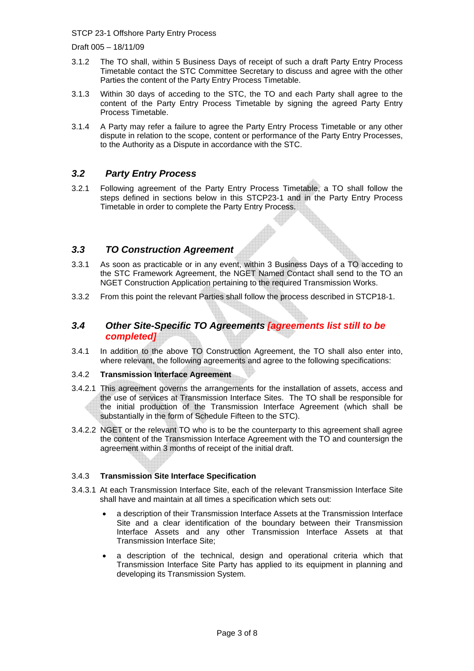Draft 005 – 18/11/09

- 3.1.2 The TO shall, within 5 Business Days of receipt of such a draft Party Entry Process Timetable contact the STC Committee Secretary to discuss and agree with the other Parties the content of the Party Entry Process Timetable.
- 3.1.3 Within 30 days of acceding to the STC, the TO and each Party shall agree to the content of the Party Entry Process Timetable by signing the agreed Party Entry Process Timetable.
- 3.1.4 A Party may refer a failure to agree the Party Entry Process Timetable or any other dispute in relation to the scope, content or performance of the Party Entry Processes, to the Authority as a Dispute in accordance with the STC.

# *3.2 Party Entry Process*

3.2.1 Following agreement of the Party Entry Process Timetable, a TO shall follow the steps defined in sections below in this STCP23-1 and in the Party Entry Process Timetable in order to complete the Party Entry Process.

# *3.3 TO Construction Agreement*

- 3.3.1 As soon as practicable or in any event, within 3 Business Days of a TO acceding to the STC Framework Agreement, the NGET Named Contact shall send to the TO an NGET Construction Application pertaining to the required Transmission Works.
- 3.3.2 From this point the relevant Parties shall follow the process described in STCP18-1.

### *3.4 Other Site-Specific TO Agreements [agreements list still to be completed]*

3.4.1 In addition to the above TO Construction Agreement, the TO shall also enter into, where relevant, the following agreements and agree to the following specifications:

#### 3.4.2 **Transmission Interface Agreement**

- 3.4.2.1 This agreement governs the arrangements for the installation of assets, access and the use of services at Transmission Interface Sites. The TO shall be responsible for the initial production of the Transmission Interface Agreement (which shall be substantially in the form of Schedule Fifteen to the STC).
- 3.4.2.2 NGET or the relevant TO who is to be the counterparty to this agreement shall agree the content of the Transmission Interface Agreement with the TO and countersign the agreement within 3 months of receipt of the initial draft.

#### 3.4.3 **Transmission Site Interface Specification**

- 3.4.3.1 At each Transmission Interface Site, each of the relevant Transmission Interface Site shall have and maintain at all times a specification which sets out:
	- a description of their Transmission Interface Assets at the Transmission Interface Site and a clear identification of the boundary between their Transmission Interface Assets and any other Transmission Interface Assets at that Transmission Interface Site;
	- a description of the technical, design and operational criteria which that Transmission Interface Site Party has applied to its equipment in planning and developing its Transmission System.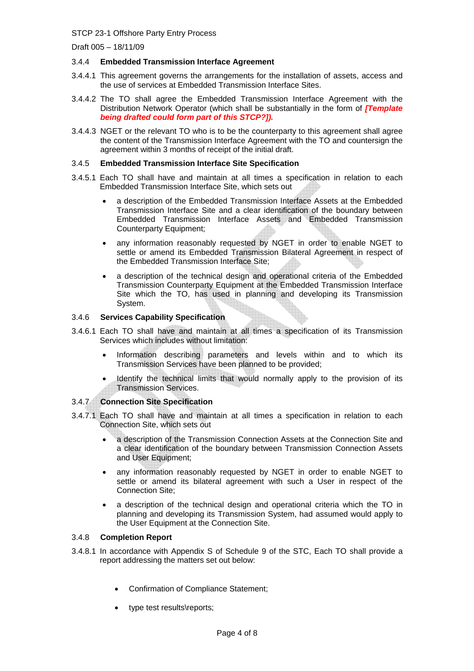Draft 005 – 18/11/09

#### 3.4.4 **Embedded Transmission Interface Agreement**

- 3.4.4.1 This agreement governs the arrangements for the installation of assets, access and the use of services at Embedded Transmission Interface Sites.
- 3.4.4.2 The TO shall agree the Embedded Transmission Interface Agreement with the Distribution Network Operator (which shall be substantially in the form of *[Template being drafted could form part of this STCP?]).*
- 3.4.4.3 NGET or the relevant TO who is to be the counterparty to this agreement shall agree the content of the Transmission Interface Agreement with the TO and countersign the agreement within 3 months of receipt of the initial draft.

#### 3.4.5 **Embedded Transmission Interface Site Specification**

- 3.4.5.1 Each TO shall have and maintain at all times a specification in relation to each Embedded Transmission Interface Site, which sets out
	- a description of the Embedded Transmission Interface Assets at the Embedded Transmission Interface Site and a clear identification of the boundary between Embedded Transmission Interface Assets and Embedded Transmission Counterparty Equipment;
	- any information reasonably requested by NGET in order to enable NGET to settle or amend its Embedded Transmission Bilateral Agreement in respect of the Embedded Transmission Interface Site;
	- a description of the technical design and operational criteria of the Embedded Transmission Counterparty Equipment at the Embedded Transmission Interface Site which the TO, has used in planning and developing its Transmission System.

#### 3.4.6 **Services Capability Specification**

- 3.4.6.1 Each TO shall have and maintain at all times a specification of its Transmission Services which includes without limitation:
	- Information describing parameters and levels within and to which its Transmission Services have been planned to be provided;
	- Identify the technical limits that would normally apply to the provision of its Transmission Services.

#### 3.4.7 **Connection Site Specification**

- 3.4.7.1 Each TO shall have and maintain at all times a specification in relation to each Connection Site, which sets out
	- a description of the Transmission Connection Assets at the Connection Site and a clear identification of the boundary between Transmission Connection Assets and User Equipment;
	- any information reasonably requested by NGET in order to enable NGET to settle or amend its bilateral agreement with such a User in respect of the Connection Site;
	- a description of the technical design and operational criteria which the TO in planning and developing its Transmission System, had assumed would apply to the User Equipment at the Connection Site.

#### 3.4.8 **Completion Report**

- 3.4.8.1 In accordance with Appendix S of Schedule 9 of the STC, Each TO shall provide a report addressing the matters set out below:
	- Confirmation of Compliance Statement;
	- type test results\reports;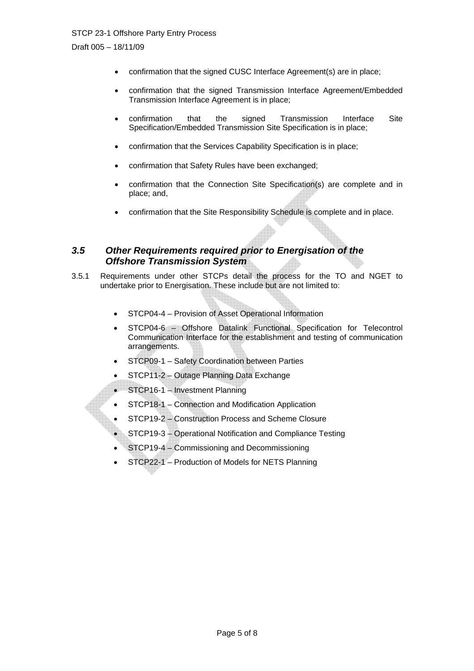Draft 005 – 18/11/09

- confirmation that the signed CUSC Interface Agreement(s) are in place;
- confirmation that the signed Transmission Interface Agreement/Embedded Transmission Interface Agreement is in place;
- confirmation that the signed Transmission Interface Site Specification/Embedded Transmission Site Specification is in place;
- confirmation that the Services Capability Specification is in place;
- confirmation that Safety Rules have been exchanged;
- confirmation that the Connection Site Specification(s) are complete and in place; and,
- confirmation that the Site Responsibility Schedule is complete and in place.

### *3.5 Other Requirements required prior to Energisation of the Offshore Transmission System*

- 3.5.1 Requirements under other STCPs detail the process for the TO and NGET to undertake prior to Energisation. These include but are not limited to:
	- STCP04-4 Provision of Asset Operational Information
	- STCP04-6 Offshore Datalink Functional Specification for Telecontrol Communication Interface for the establishment and testing of communication arrangements.
	- STCP09-1 Safety Coordination between Parties
	- STCP11-2 Outage Planning Data Exchange
	- STCP16-1 Investment Planning
	- STCP18-1 Connection and Modification Application
	- STCP19-2 Construction Process and Scheme Closure
	- STCP19-3 Operational Notification and Compliance Testing
	- STCP19-4 Commissioning and Decommissioning
	- STCP22-1 Production of Models for NETS Planning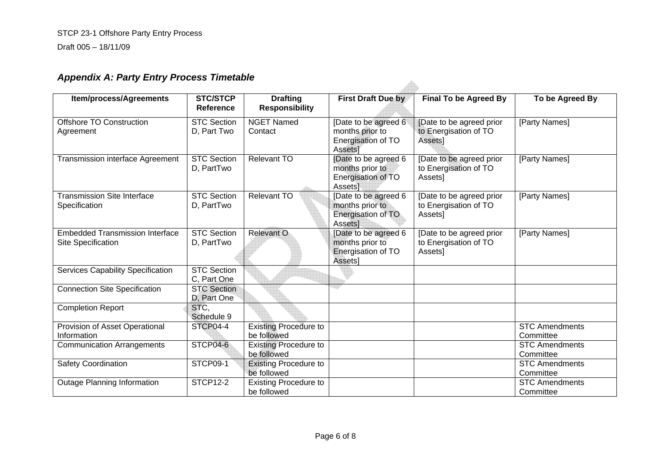Draft 005 – 18/11/09

# *Appendix A: Party Entry Process Timetable*

| <b>Item/process/Agreements</b>                               | <b>STC/STCP</b><br>Reference      | <b>Drafting</b><br><b>Responsibility</b>    | <b>First Draft Due by</b>                                                | <b>Final To be Agreed By</b>                                 | To be Agreed By                    |
|--------------------------------------------------------------|-----------------------------------|---------------------------------------------|--------------------------------------------------------------------------|--------------------------------------------------------------|------------------------------------|
| Offshore TO Construction<br>Agreement                        | <b>STC Section</b><br>D, Part Two | <b>NGET Named</b><br>Contact                | [Date to be agreed 6<br>months prior to<br>Energisation of TO<br>Assets] | [Date to be agreed prior<br>to Energisation of TO<br>Assets] | [Party Names]                      |
| <b>Transmission interface Agreement</b>                      | <b>STC Section</b><br>D, PartTwo  | Relevant TO                                 | [Date to be agreed 6<br>months prior to<br>Energisation of TO<br>AssetsT | [Date to be agreed prior<br>to Energisation of TO<br>Assets] | [Party Names]                      |
| <b>Transmission Site Interface</b><br>Specification          | <b>STC Section</b><br>D, PartTwo  | <b>Relevant TO</b>                          | [Date to be agreed 6<br>months prior to<br>Energisation of TO<br>Assets] | [Date to be agreed prior<br>to Energisation of TO<br>Assets] | [Party Names]                      |
| <b>Embedded Transmission Interface</b><br>Site Specification | <b>STC Section</b><br>D, PartTwo  | Relevant O                                  | [Date to be agreed 6<br>months prior to<br>Energisation of TO<br>Assets] | [Date to be agreed prior<br>to Energisation of TO<br>Assets] | [Party Names]                      |
| <b>Services Capability Specification</b>                     | <b>STC Section</b><br>C, Part One |                                             |                                                                          |                                                              |                                    |
| <b>Connection Site Specification</b>                         | <b>STC Section</b><br>D, Part One |                                             |                                                                          |                                                              |                                    |
| <b>Completion Report</b>                                     | STC,<br>Schedule 9                |                                             |                                                                          |                                                              |                                    |
| Provision of Asset Operational<br>Information                | STCP04-4                          | <b>Existing Procedure to</b><br>be followed |                                                                          |                                                              | <b>STC Amendments</b><br>Committee |
| <b>Communication Arrangements</b>                            | STCP04-6                          | <b>Existing Procedure to</b><br>be followed |                                                                          |                                                              | <b>STC Amendments</b><br>Committee |
| <b>Safety Coordination</b>                                   | STCP09-1                          | <b>Existing Procedure to</b><br>be followed |                                                                          |                                                              | <b>STC Amendments</b><br>Committee |
| <b>Outage Planning Information</b>                           | <b>STCP12-2</b>                   | <b>Existing Procedure to</b><br>be followed |                                                                          |                                                              | <b>STC Amendments</b><br>Committee |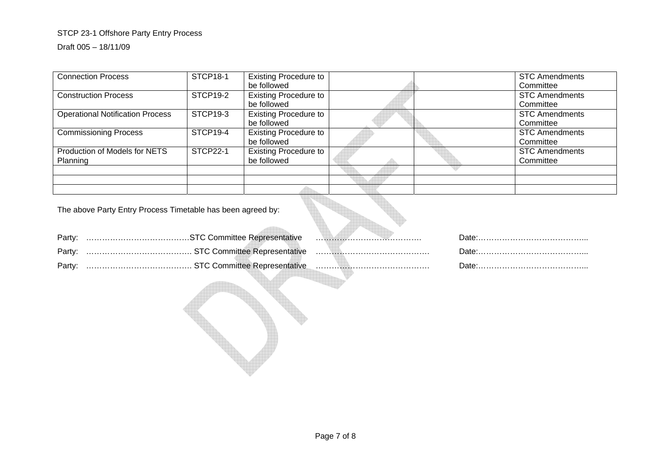#### Draft 005 – 18/11/09

| <b>Connection Process</b>               | <b>STCP18-1</b> | <b>Existing Procedure to</b> |  | <b>STC Amendments</b> |
|-----------------------------------------|-----------------|------------------------------|--|-----------------------|
|                                         |                 | be followed                  |  | Committee             |
| <b>Construction Process</b>             | STCP19-2        | <b>Existing Procedure to</b> |  | <b>STC Amendments</b> |
|                                         |                 | be followed                  |  | Committee             |
| <b>Operational Notification Process</b> | STCP19-3        | <b>Existing Procedure to</b> |  | <b>STC Amendments</b> |
|                                         |                 | be followed                  |  | Committee             |
| <b>Commissioning Process</b>            | STCP19-4        | <b>Existing Procedure to</b> |  | <b>STC Amendments</b> |
|                                         |                 | be followed                  |  | Committee             |
| Production of Models for NETS           | <b>STCP22-1</b> | <b>Existing Procedure to</b> |  | <b>STC Amendments</b> |
| Planning                                |                 | be followed                  |  | Committee             |
|                                         |                 |                              |  |                       |
|                                         |                 |                              |  |                       |
|                                         |                 |                              |  |                       |

The above Party Entry Process Timetable has been agreed by:

| Party: |                                             |  |
|--------|---------------------------------------------|--|
| Party: |                                             |  |
| Party: | …………………………………… STC Committee Representative |  |